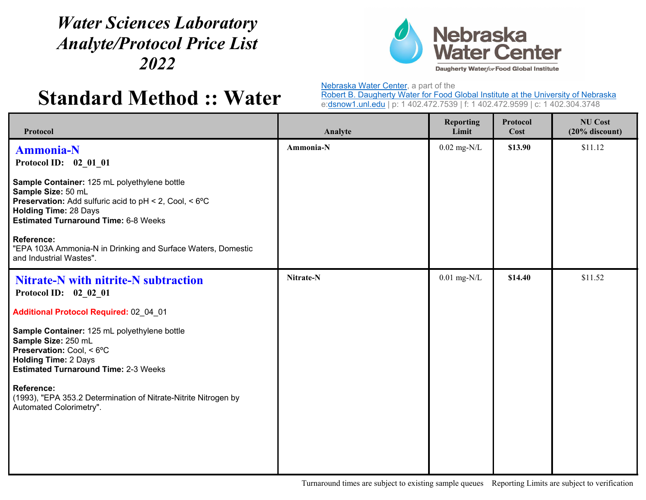## *Water Sciences Laboratory Analyte/Protocol Price List 2022*



## **Standard Method :: Water**

Nebraska Water Center, a part of the

Robert B. Daugherty Water for Food Global Institute at the University of Nebraska e:dsnow1.unl.edu | p: 1 402.472.7539 | f: 1 402.472.9599 | c: 1 402.304.3748

| Protocol                                                                                                                                                                                                    | Analyte   | <b>Reporting</b><br>Limit | Protocol<br>Cost | <b>NU Cost</b><br>$(20%$ discount) |
|-------------------------------------------------------------------------------------------------------------------------------------------------------------------------------------------------------------|-----------|---------------------------|------------------|------------------------------------|
| <b>Ammonia-N</b><br>Protocol ID: 02 01 01                                                                                                                                                                   | Ammonia-N | $0.02$ mg-N/L             | \$13.90          | \$11.12                            |
| Sample Container: 125 mL polyethylene bottle<br>Sample Size: 50 mL<br>Preservation: Add sulfuric acid to pH < 2, Cool, < 6°C<br><b>Holding Time: 28 Days</b><br><b>Estimated Turnaround Time: 6-8 Weeks</b> |           |                           |                  |                                    |
| <b>Reference:</b><br>"EPA 103A Ammonia-N in Drinking and Surface Waters, Domestic<br>and Industrial Wastes".                                                                                                |           |                           |                  |                                    |
| <b>Nitrate-N with nitrite-N subtraction</b><br>Protocol ID: 02_02_01                                                                                                                                        | Nitrate-N | $0.01$ mg-N/L             | \$14.40          | \$11.52                            |
| Additional Protocol Required: 02 04 01                                                                                                                                                                      |           |                           |                  |                                    |
| Sample Container: 125 mL polyethylene bottle<br>Sample Size: 250 mL<br>Preservation: Cool, < 6°C<br><b>Holding Time: 2 Days</b><br><b>Estimated Turnaround Time: 2-3 Weeks</b>                              |           |                           |                  |                                    |
| <b>Reference:</b><br>(1993), "EPA 353.2 Determination of Nitrate-Nitrite Nitrogen by<br>Automated Colorimetry".                                                                                             |           |                           |                  |                                    |
|                                                                                                                                                                                                             |           |                           |                  |                                    |

Turnaround times are subject to existing sample queues Reporting Limits are subject to verification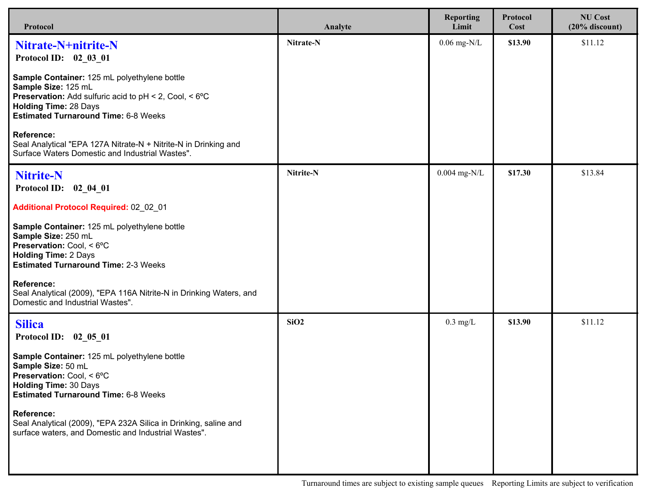| Protocol                                                                                                                                                                                                            | Analyte   | <b>Reporting</b><br>Limit | Protocol<br>Cost | <b>NU Cost</b><br>$(20%$ discount) |
|---------------------------------------------------------------------------------------------------------------------------------------------------------------------------------------------------------------------|-----------|---------------------------|------------------|------------------------------------|
| Nitrate-N+nitrite-N<br>Protocol ID: 02 03 01                                                                                                                                                                        | Nitrate-N | $0.06$ mg-N/L             | \$13.90          | \$11.12                            |
| Sample Container: 125 mL polyethylene bottle<br>Sample Size: 125 mL<br><b>Preservation:</b> Add sulfuric acid to pH < 2, Cool, < 6°C<br><b>Holding Time: 28 Days</b><br><b>Estimated Turnaround Time: 6-8 Weeks</b> |           |                           |                  |                                    |
| Reference:<br>Seal Analytical "EPA 127A Nitrate-N + Nitrite-N in Drinking and<br>Surface Waters Domestic and Industrial Wastes".                                                                                    |           |                           |                  |                                    |
| <b>Nitrite-N</b><br>Protocol ID: 02_04_01                                                                                                                                                                           | Nitrite-N | $0.004$ mg-N/L            | \$17.30          | \$13.84                            |
| Additional Protocol Required: 02 02 01                                                                                                                                                                              |           |                           |                  |                                    |
| Sample Container: 125 mL polyethylene bottle<br>Sample Size: 250 mL<br><b>Preservation: Cool, &lt;6°C</b><br><b>Holding Time: 2 Days</b><br><b>Estimated Turnaround Time: 2-3 Weeks</b>                             |           |                           |                  |                                    |
| <b>Reference:</b><br>Seal Analytical (2009), "EPA 116A Nitrite-N in Drinking Waters, and<br>Domestic and Industrial Wastes".                                                                                        |           |                           |                  |                                    |
| <b>Silica</b><br>Protocol ID: 02_05_01                                                                                                                                                                              | SiO2      | $0.3$ mg/L                | \$13.90          | \$11.12                            |
| Sample Container: 125 mL polyethylene bottle<br>Sample Size: 50 mL<br><b>Preservation: Cool, &lt; 6°C</b><br><b>Holding Time: 30 Days</b><br><b>Estimated Turnaround Time: 6-8 Weeks</b>                            |           |                           |                  |                                    |
| <b>Reference:</b><br>Seal Analytical (2009), "EPA 232A Silica in Drinking, saline and<br>surface waters, and Domestic and Industrial Wastes".                                                                       |           |                           |                  |                                    |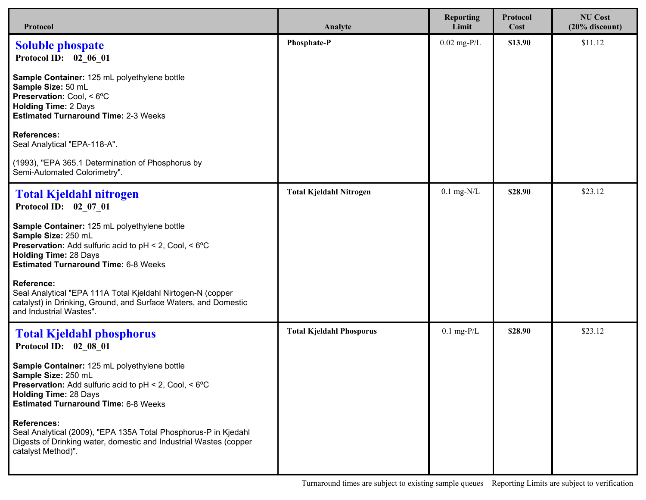| Protocol                                                                                                                                                                                                            | Analyte                         | <b>Reporting</b><br>Limit | Protocol<br>Cost | <b>NU Cost</b><br>$(20%$ discount) |
|---------------------------------------------------------------------------------------------------------------------------------------------------------------------------------------------------------------------|---------------------------------|---------------------------|------------------|------------------------------------|
| <b>Soluble phospate</b><br>Protocol ID: 02 06 01                                                                                                                                                                    | Phosphate-P                     | $0.02$ mg-P/L             | \$13.90          | \$11.12                            |
| Sample Container: 125 mL polyethylene bottle<br>Sample Size: 50 mL<br>Preservation: Cool, < 6°C<br><b>Holding Time: 2 Days</b><br><b>Estimated Turnaround Time: 2-3 Weeks</b>                                       |                                 |                           |                  |                                    |
| <b>References:</b><br>Seal Analytical "EPA-118-A".                                                                                                                                                                  |                                 |                           |                  |                                    |
| (1993), "EPA 365.1 Determination of Phosphorus by<br>Semi-Automated Colorimetry".                                                                                                                                   |                                 |                           |                  |                                    |
| <b>Total Kjeldahl nitrogen</b><br>Protocol ID: 02 07 01                                                                                                                                                             | <b>Total Kjeldahl Nitrogen</b>  | $0.1$ mg- $N/L$           | \$28.90          | \$23.12                            |
| Sample Container: 125 mL polyethylene bottle<br>Sample Size: 250 mL<br><b>Preservation:</b> Add sulfuric acid to pH < 2, Cool, < 6°C<br><b>Holding Time: 28 Days</b><br><b>Estimated Turnaround Time: 6-8 Weeks</b> |                                 |                           |                  |                                    |
| <b>Reference:</b><br>Seal Analytical "EPA 111A Total Kjeldahl Nirtogen-N (copper<br>catalyst) in Drinking, Ground, and Surface Waters, and Domestic<br>and Industrial Wastes".                                      |                                 |                           |                  |                                    |
| <b>Total Kjeldahl phosphorus</b><br>Protocol ID: 02 08 01                                                                                                                                                           | <b>Total Kjeldahl Phosporus</b> | $0.1$ mg-P/L              | \$28.90          | \$23.12                            |
| Sample Container: 125 mL polyethylene bottle<br>Sample Size: 250 mL<br>Preservation: Add sulfuric acid to pH < 2, Cool, < 6°C<br><b>Holding Time: 28 Days</b><br><b>Estimated Turnaround Time: 6-8 Weeks</b>        |                                 |                           |                  |                                    |
| <b>References:</b><br>Seal Analytical (2009), "EPA 135A Total Phosphorus-P in Kjedahl<br>Digests of Drinking water, domestic and Industrial Wastes (copper<br>catalyst Method)".                                    |                                 |                           |                  |                                    |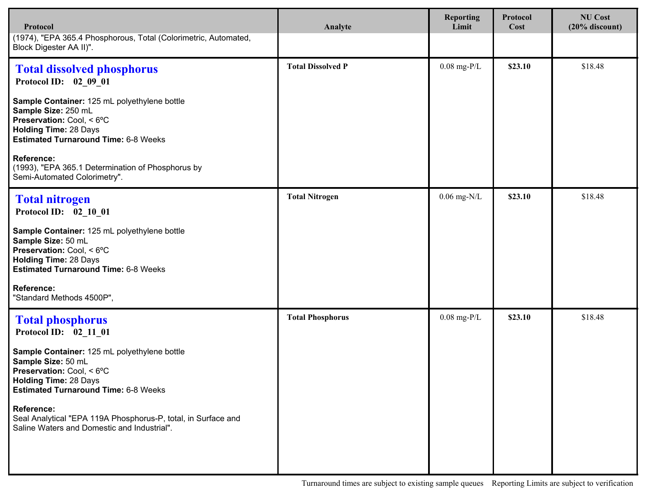| Protocol                                                                                                                                                                                 | Analyte                  | <b>Reporting</b><br>Limit | Protocol<br>Cost | <b>NU Cost</b><br>$(20%$ discount) |
|------------------------------------------------------------------------------------------------------------------------------------------------------------------------------------------|--------------------------|---------------------------|------------------|------------------------------------|
| (1974), "EPA 365.4 Phosphorous, Total (Colorimetric, Automated,<br>Block Digester AA II)".                                                                                               |                          |                           |                  |                                    |
| <b>Total dissolved phosphorus</b><br>Protocol ID: 02_09_01                                                                                                                               | <b>Total Dissolved P</b> | $0.08$ mg-P/L             | \$23.10          | \$18.48                            |
| Sample Container: 125 mL polyethylene bottle<br>Sample Size: 250 mL<br>Preservation: Cool, < 6°C<br><b>Holding Time: 28 Days</b><br><b>Estimated Turnaround Time: 6-8 Weeks</b>          |                          |                           |                  |                                    |
| <b>Reference:</b><br>(1993), "EPA 365.1 Determination of Phosphorus by<br>Semi-Automated Colorimetry".                                                                                   |                          |                           |                  |                                    |
| <b>Total nitrogen</b><br>Protocol ID: 02 10 01                                                                                                                                           | <b>Total Nitrogen</b>    | $0.06$ mg-N/L             | \$23.10          | \$18.48                            |
| Sample Container: 125 mL polyethylene bottle<br>Sample Size: 50 mL<br>Preservation: Cool, < 6°C<br><b>Holding Time: 28 Days</b><br><b>Estimated Turnaround Time: 6-8 Weeks</b>           |                          |                           |                  |                                    |
| <b>Reference:</b><br>"Standard Methods 4500P",                                                                                                                                           |                          |                           |                  |                                    |
| <b>Total phosphorus</b><br>Protocol ID: 02_11_01                                                                                                                                         | <b>Total Phosphorus</b>  | $0.08$ mg-P/L             | \$23.10          | \$18.48                            |
| Sample Container: 125 mL polyethylene bottle<br>Sample Size: 50 mL<br><b>Preservation: Cool, &lt; 6°C</b><br><b>Holding Time: 28 Days</b><br><b>Estimated Turnaround Time: 6-8 Weeks</b> |                          |                           |                  |                                    |
| <b>Reference:</b><br>Seal Analytical "EPA 119A Phosphorus-P, total, in Surface and<br>Saline Waters and Domestic and Industrial".                                                        |                          |                           |                  |                                    |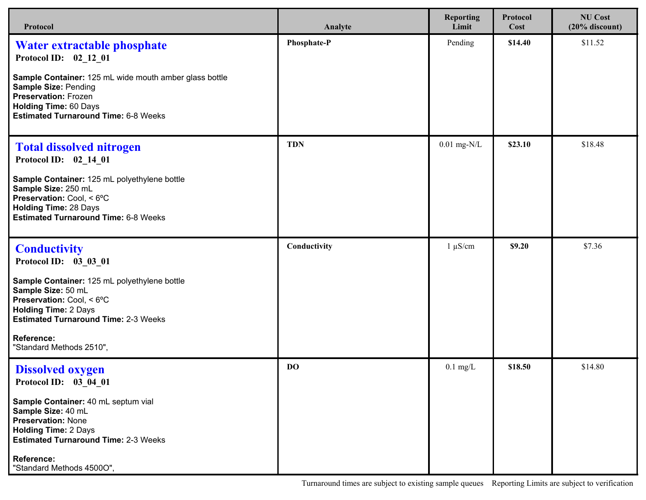| Protocol                                                                                                                                                                                         | Analyte      | <b>Reporting</b><br>Limit | Protocol<br>Cost | <b>NU Cost</b><br>$(20%$ discount) |
|--------------------------------------------------------------------------------------------------------------------------------------------------------------------------------------------------|--------------|---------------------------|------------------|------------------------------------|
| Water extractable phosphate<br>Protocol ID: 02 12 01<br>Sample Container: 125 mL wide mouth amber glass bottle                                                                                   | Phosphate-P  | Pending                   | \$14.40          | \$11.52                            |
| <b>Sample Size: Pending</b><br><b>Preservation: Frozen</b><br><b>Holding Time: 60 Days</b><br><b>Estimated Turnaround Time: 6-8 Weeks</b>                                                        |              |                           |                  |                                    |
| <b>Total dissolved nitrogen</b><br>Protocol ID: 02_14_01                                                                                                                                         | <b>TDN</b>   | $0.01$ mg-N/L             | \$23.10          | \$18.48                            |
| Sample Container: 125 mL polyethylene bottle<br>Sample Size: 250 mL<br><b>Preservation:</b> Cool, $< 6^{\circ}$ C<br><b>Holding Time: 28 Days</b><br><b>Estimated Turnaround Time: 6-8 Weeks</b> |              |                           |                  |                                    |
| <b>Conductivity</b><br>Protocol ID: 03_03_01                                                                                                                                                     | Conductivity | $1 \mu S/cm$              | \$9.20           | \$7.36                             |
| Sample Container: 125 mL polyethylene bottle<br>Sample Size: 50 mL<br>Preservation: Cool, < 6°C<br><b>Holding Time: 2 Days</b><br><b>Estimated Turnaround Time: 2-3 Weeks</b>                    |              |                           |                  |                                    |
| Reference:<br>"Standard Methods 2510",                                                                                                                                                           |              |                           |                  |                                    |
| <b>Dissolved oxygen</b><br>Protocol ID: 03_04_01                                                                                                                                                 | <b>DO</b>    | $0.1 \text{ mg/L}$        | \$18.50          | \$14.80                            |
| Sample Container: 40 mL septum vial<br>Sample Size: 40 mL<br><b>Preservation: None</b><br><b>Holding Time: 2 Days</b><br><b>Estimated Turnaround Time: 2-3 Weeks</b>                             |              |                           |                  |                                    |
| <b>Reference:</b><br>"Standard Methods 4500O",                                                                                                                                                   |              |                           |                  |                                    |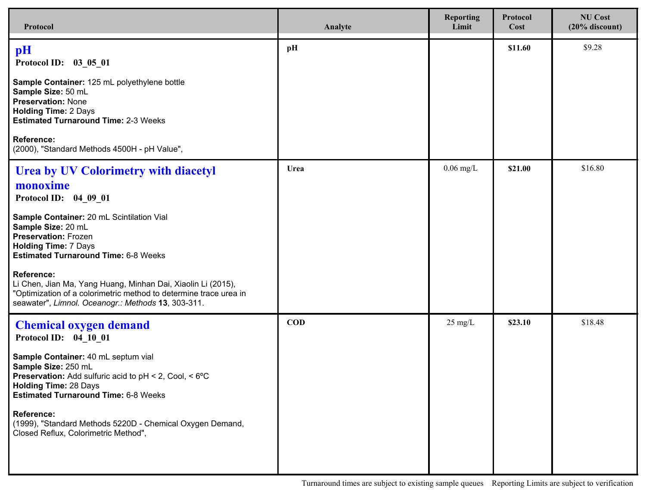| Protocol                                                                                                                                                                                                                                                                                                                                                                                                                                                                  | Analyte    | <b>Reporting</b><br>Limit | Protocol<br>Cost | <b>NU Cost</b><br>$(20%$ discount) |
|---------------------------------------------------------------------------------------------------------------------------------------------------------------------------------------------------------------------------------------------------------------------------------------------------------------------------------------------------------------------------------------------------------------------------------------------------------------------------|------------|---------------------------|------------------|------------------------------------|
| pH<br>Protocol ID: 03_05_01                                                                                                                                                                                                                                                                                                                                                                                                                                               | pH         |                           | \$11.60          | \$9.28                             |
| Sample Container: 125 mL polyethylene bottle<br>Sample Size: 50 mL<br><b>Preservation: None</b><br><b>Holding Time: 2 Days</b><br><b>Estimated Turnaround Time: 2-3 Weeks</b>                                                                                                                                                                                                                                                                                             |            |                           |                  |                                    |
| <b>Reference:</b><br>(2000), "Standard Methods 4500H - pH Value",                                                                                                                                                                                                                                                                                                                                                                                                         |            |                           |                  |                                    |
| <b>Urea by UV Colorimetry with diacetyl</b><br>monoxime<br>Protocol ID: 04_09_01<br>Sample Container: 20 mL Scintilation Vial<br>Sample Size: 20 mL<br><b>Preservation: Frozen</b><br><b>Holding Time: 7 Days</b><br><b>Estimated Turnaround Time: 6-8 Weeks</b><br>Reference:<br>Li Chen, Jian Ma, Yang Huang, Minhan Dai, Xiaolin Li (2015),<br>"Optimization of a colorimetric method to determine trace urea in<br>seawater", Limnol. Oceanogr.: Methods 13, 303-311. | Urea       | $0.06$ mg/L               | \$21.00          | \$16.80                            |
| <b>Chemical oxygen demand</b><br>Protocol ID: 04_10_01<br>Sample Container: 40 mL septum vial<br>Sample Size: 250 mL<br><b>Preservation:</b> Add sulfuric acid to $pH < 2$ , Cool, $< 6^{\circ}C$<br><b>Holding Time: 28 Days</b><br><b>Estimated Turnaround Time: 6-8 Weeks</b><br><b>Reference:</b><br>(1999), "Standard Methods 5220D - Chemical Oxygen Demand,<br>Closed Reflux, Colorimetric Method",                                                                | <b>COD</b> | $25 \text{ mg/L}$         | \$23.10          | \$18.48                            |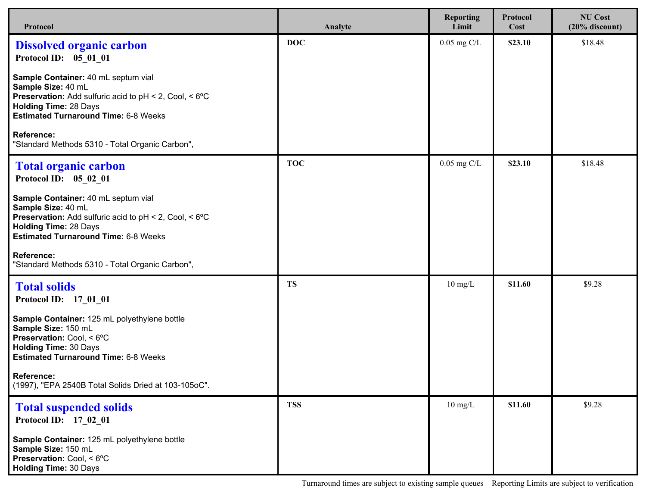| Protocol                                                                                                                                                                                                              | Analyte    | <b>Reporting</b><br>Limit | Protocol<br>Cost | <b>NU Cost</b><br>$(20%$ discount) |
|-----------------------------------------------------------------------------------------------------------------------------------------------------------------------------------------------------------------------|------------|---------------------------|------------------|------------------------------------|
| <b>Dissolved organic carbon</b><br>Protocol ID: 05 01 01                                                                                                                                                              | <b>DOC</b> | $0.05$ mg C/L             | \$23.10          | \$18.48                            |
| Sample Container: 40 mL septum vial<br>Sample Size: 40 mL<br><b>Preservation:</b> Add sulfuric acid to $pH < 2$ , Cool, $< 6^{\circ}C$<br><b>Holding Time: 28 Days</b><br><b>Estimated Turnaround Time: 6-8 Weeks</b> |            |                           |                  |                                    |
| <b>Reference:</b><br>"Standard Methods 5310 - Total Organic Carbon",                                                                                                                                                  |            |                           |                  |                                    |
| <b>Total organic carbon</b><br>Protocol ID: 05_02_01                                                                                                                                                                  | <b>TOC</b> | $0.05$ mg C/L             | \$23.10          | \$18.48                            |
| Sample Container: 40 mL septum vial<br>Sample Size: 40 mL<br><b>Preservation:</b> Add sulfuric acid to pH < 2, Cool, < 6°C<br><b>Holding Time: 28 Days</b><br><b>Estimated Turnaround Time: 6-8 Weeks</b>             |            |                           |                  |                                    |
| Reference:<br>"Standard Methods 5310 - Total Organic Carbon",                                                                                                                                                         |            |                           |                  |                                    |
| <b>Total solids</b><br>Protocol ID: 17_01_01                                                                                                                                                                          | <b>TS</b>  | $10 \text{ mg/L}$         | \$11.60          | \$9.28                             |
| Sample Container: 125 mL polyethylene bottle<br>Sample Size: 150 mL<br>Preservation: Cool, < 6°C<br><b>Holding Time: 30 Days</b><br><b>Estimated Turnaround Time: 6-8 Weeks</b>                                       |            |                           |                  |                                    |
| Reference:<br>(1997), "EPA 2540B Total Solids Dried at 103-105oC".                                                                                                                                                    |            |                           |                  |                                    |
| <b>Total suspended solids</b><br>Protocol ID: 17_02_01                                                                                                                                                                | <b>TSS</b> | $10 \text{ mg/L}$         | \$11.60          | \$9.28                             |
| Sample Container: 125 mL polyethylene bottle<br>Sample Size: 150 mL<br>Preservation: Cool, < 6°C<br><b>Holding Time: 30 Days</b>                                                                                      |            |                           |                  |                                    |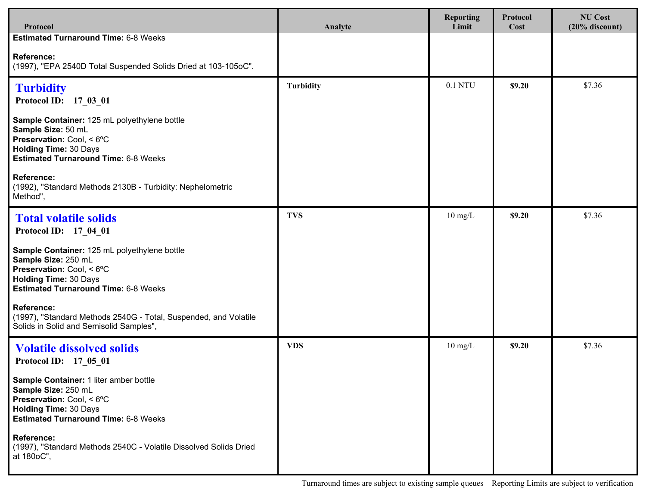| Protocol                                                                                                                                                                        | Analyte          | <b>Reporting</b><br>Limit | Protocol<br>Cost | <b>NU Cost</b><br>$(20%$ discount) |
|---------------------------------------------------------------------------------------------------------------------------------------------------------------------------------|------------------|---------------------------|------------------|------------------------------------|
| <b>Estimated Turnaround Time: 6-8 Weeks</b>                                                                                                                                     |                  |                           |                  |                                    |
| <b>Reference:</b><br>(1997), "EPA 2540D Total Suspended Solids Dried at 103-105oC".                                                                                             |                  |                           |                  |                                    |
| <b>Turbidity</b><br>Protocol ID: 17 03 01                                                                                                                                       | <b>Turbidity</b> | 0.1 NTU                   | \$9.20           | \$7.36                             |
| Sample Container: 125 mL polyethylene bottle<br>Sample Size: 50 mL<br>Preservation: Cool, < 6°C<br><b>Holding Time: 30 Days</b><br><b>Estimated Turnaround Time: 6-8 Weeks</b>  |                  |                           |                  |                                    |
| Reference:<br>(1992), "Standard Methods 2130B - Turbidity: Nephelometric<br>Method",                                                                                            |                  |                           |                  |                                    |
| <b>Total volatile solids</b><br>Protocol ID: 17 04 01                                                                                                                           | <b>TVS</b>       | $10 \text{ mg/L}$         | \$9.20           | \$7.36                             |
| Sample Container: 125 mL polyethylene bottle<br>Sample Size: 250 mL<br>Preservation: Cool, < 6°C<br><b>Holding Time: 30 Days</b><br><b>Estimated Turnaround Time: 6-8 Weeks</b> |                  |                           |                  |                                    |
| <b>Reference:</b><br>(1997), "Standard Methods 2540G - Total, Suspended, and Volatile<br>Solids in Solid and Semisolid Samples",                                                |                  |                           |                  |                                    |
| <b>Volatile dissolved solids</b><br>Protocol ID: 17 05 01                                                                                                                       | <b>VDS</b>       | $10 \text{ mg/L}$         | \$9.20           | \$7.36                             |
| Sample Container: 1 liter amber bottle<br>Sample Size: 250 mL<br>Preservation: Cool, < 6°C<br><b>Holding Time: 30 Days</b><br><b>Estimated Turnaround Time: 6-8 Weeks</b>       |                  |                           |                  |                                    |
| <b>Reference:</b><br>(1997), "Standard Methods 2540C - Volatile Dissolved Solids Dried<br>at 180oC",                                                                            |                  |                           |                  |                                    |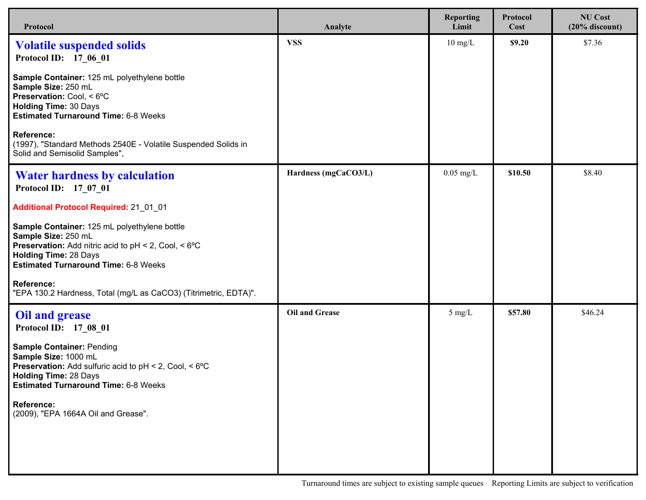| Protocol                                                                                                                                                                                                          | Analyte               | <b>Reporting</b><br>Limit | <b>Protocol</b><br>Cost | <b>NU Cost</b><br>$(20%$ discount) |
|-------------------------------------------------------------------------------------------------------------------------------------------------------------------------------------------------------------------|-----------------------|---------------------------|-------------------------|------------------------------------|
| <b>Volatile suspended solids</b><br>Protocol ID: 17 06 01                                                                                                                                                         | <b>VSS</b>            | $10 \text{ mg/L}$         | \$9.20                  | \$7.36                             |
| Sample Container: 125 mL polyethylene bottle<br>Sample Size: 250 mL<br>Preservation: Cool, < 6°C<br><b>Holding Time: 30 Days</b><br><b>Estimated Turnaround Time: 6-8 Weeks</b>                                   |                       |                           |                         |                                    |
| <b>Reference:</b><br>(1997), "Standard Methods 2540E - Volatile Suspended Solids in<br>Solid and Semisolid Samples",                                                                                              |                       |                           |                         |                                    |
| <b>Water hardness by calculation</b><br>Protocol ID: 17 07 01                                                                                                                                                     | Hardness (mgCaCO3/L)  | $0.05$ mg/L               | \$10.50                 | \$8.40                             |
| <b>Additional Protocol Required: 21_01_01</b>                                                                                                                                                                     |                       |                           |                         |                                    |
| Sample Container: 125 mL polyethylene bottle<br>Sample Size: 250 mL<br><b>Preservation:</b> Add nitric acid to pH < 2, Cool, < 6°C<br><b>Holding Time: 28 Days</b><br><b>Estimated Turnaround Time: 6-8 Weeks</b> |                       |                           |                         |                                    |
| <b>Reference:</b><br>"EPA 130.2 Hardness, Total (mg/L as CaCO3) (Titrimetric, EDTA)".                                                                                                                             |                       |                           |                         |                                    |
| <b>Oil and grease</b><br>Protocol ID: 17_08_01                                                                                                                                                                    | <b>Oil and Grease</b> | $5 \text{ mg/L}$          | \$57.80                 | \$46.24                            |
| <b>Sample Container: Pending</b><br>Sample Size: 1000 mL<br><b>Preservation:</b> Add sulfuric acid to pH < 2, Cool, < 6°C<br><b>Holding Time: 28 Days</b><br><b>Estimated Turnaround Time: 6-8 Weeks</b>          |                       |                           |                         |                                    |
| <b>Reference:</b><br>(2009), "EPA 1664A Oil and Grease".                                                                                                                                                          |                       |                           |                         |                                    |
|                                                                                                                                                                                                                   |                       |                           |                         |                                    |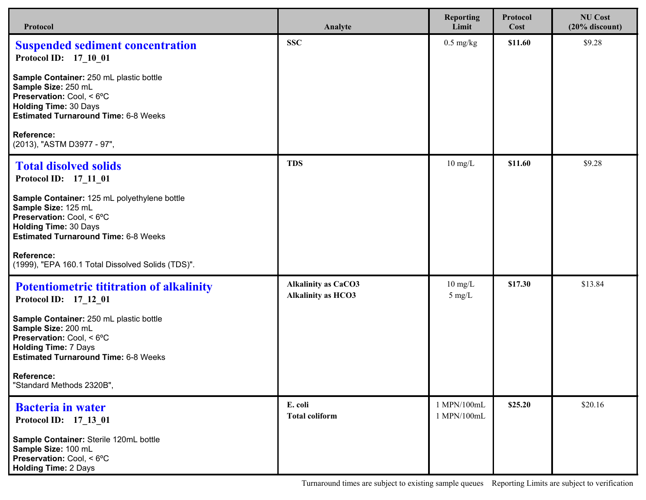| Protocol                                                                                                                                                                                         | Analyte                                                 | <b>Reporting</b><br>Limit             | Protocol<br>Cost | <b>NU Cost</b><br>$(20\%$ discount) |
|--------------------------------------------------------------------------------------------------------------------------------------------------------------------------------------------------|---------------------------------------------------------|---------------------------------------|------------------|-------------------------------------|
| <b>Suspended sediment concentration</b><br>Protocol ID: 17 10 01                                                                                                                                 | <b>SSC</b>                                              | $0.5 \text{ mg/kg}$                   | \$11.60          | \$9.28                              |
| Sample Container: 250 mL plastic bottle<br>Sample Size: 250 mL<br>Preservation: Cool, < 6°C<br><b>Holding Time: 30 Days</b><br><b>Estimated Turnaround Time: 6-8 Weeks</b>                       |                                                         |                                       |                  |                                     |
| Reference:<br>(2013), "ASTM D3977 - 97",                                                                                                                                                         |                                                         |                                       |                  |                                     |
| <b>Total disolved solids</b><br>Protocol ID: 17 11 01                                                                                                                                            | <b>TDS</b>                                              | $10 \text{ mg/L}$                     | \$11.60          | \$9.28                              |
| Sample Container: 125 mL polyethylene bottle<br>Sample Size: 125 mL<br><b>Preservation:</b> Cool, $< 6^{\circ}$ C<br><b>Holding Time: 30 Days</b><br><b>Estimated Turnaround Time: 6-8 Weeks</b> |                                                         |                                       |                  |                                     |
| Reference:<br>(1999), "EPA 160.1 Total Dissolved Solids (TDS)".                                                                                                                                  |                                                         |                                       |                  |                                     |
| <b>Potentiometric tititration of alkalinity</b><br>Protocol ID: 17_12_01                                                                                                                         | <b>Alkalinity as CaCO3</b><br><b>Alkalinity as HCO3</b> | $10 \text{ mg/L}$<br>$5 \text{ mg/L}$ | \$17.30          | \$13.84                             |
| Sample Container: 250 mL plastic bottle<br>Sample Size: 200 mL<br>Preservation: Cool, < 6°C<br><b>Holding Time: 7 Days</b><br><b>Estimated Turnaround Time: 6-8 Weeks</b>                        |                                                         |                                       |                  |                                     |
| <b>Reference:</b><br>"Standard Methods 2320B",                                                                                                                                                   |                                                         |                                       |                  |                                     |
| <b>Bacteria in water</b><br>Protocol ID: 17_13_01                                                                                                                                                | E. coli<br><b>Total coliform</b>                        | 1 MPN/100mL<br>1 MPN/100mL            | \$25.20          | \$20.16                             |
| Sample Container: Sterile 120mL bottle<br>Sample Size: 100 mL<br>Preservation: Cool, < 6°C<br><b>Holding Time: 2 Days</b>                                                                        |                                                         |                                       |                  |                                     |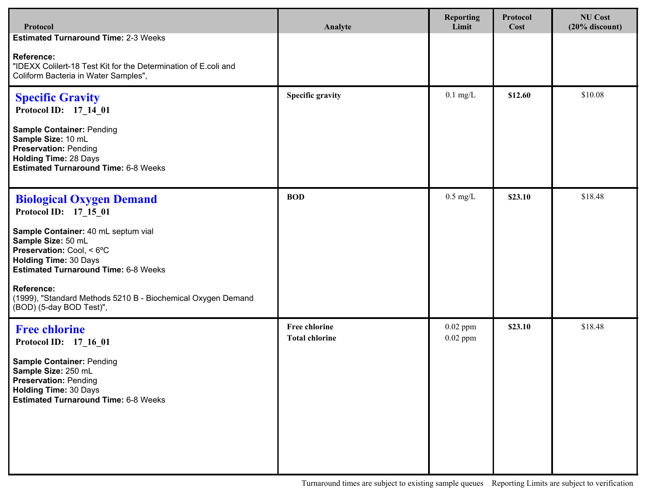| Protocol                                                                                                                                                               | Analyte                                       | <b>Reporting</b><br>Limit | Protocol<br>Cost | <b>NU Cost</b><br>$(20%$ discount) |
|------------------------------------------------------------------------------------------------------------------------------------------------------------------------|-----------------------------------------------|---------------------------|------------------|------------------------------------|
| <b>Estimated Turnaround Time: 2-3 Weeks</b>                                                                                                                            |                                               |                           |                  |                                    |
| <b>Reference:</b><br>"IDEXX Colilert-18 Test Kit for the Determination of E.coli and<br>Coliform Bacteria in Water Samples",                                           |                                               |                           |                  |                                    |
| <b>Specific Gravity</b><br>Protocol ID: 17_14_01                                                                                                                       | <b>Specific gravity</b>                       | $0.1$ mg/L                | \$12.60          | \$10.08                            |
| Sample Container: Pending<br>Sample Size: 10 mL<br><b>Preservation: Pending</b><br><b>Holding Time: 28 Days</b><br><b>Estimated Turnaround Time: 6-8 Weeks</b>         |                                               |                           |                  |                                    |
| <b>Biological Oxygen Demand</b><br>Protocol ID: 17 15 01                                                                                                               | <b>BOD</b>                                    | $0.5$ mg/L                | \$23.10          | \$18.48                            |
| Sample Container: 40 mL septum vial<br>Sample Size: 50 mL<br>Preservation: Cool, < 6°C<br><b>Holding Time: 30 Days</b><br><b>Estimated Turnaround Time: 6-8 Weeks</b>  |                                               |                           |                  |                                    |
| <b>Reference:</b><br>(1999), "Standard Methods 5210 B - Biochemical Oxygen Demand<br>(BOD) (5-day BOD Test)",                                                          |                                               |                           |                  |                                    |
| <b>Free chlorine</b><br>Protocol ID: 17_16_01                                                                                                                          | <b>Free chlorine</b><br><b>Total chlorine</b> | $0.02$ ppm<br>$0.02$ ppm  | \$23.10          | \$18.48                            |
| <b>Sample Container: Pending</b><br>Sample Size: 250 mL<br><b>Preservation: Pending</b><br><b>Holding Time: 30 Days</b><br><b>Estimated Turnaround Time: 6-8 Weeks</b> |                                               |                           |                  |                                    |
|                                                                                                                                                                        |                                               |                           |                  |                                    |

Turnaround times are subject to existing sample queues Reporting Limits are subject to verification